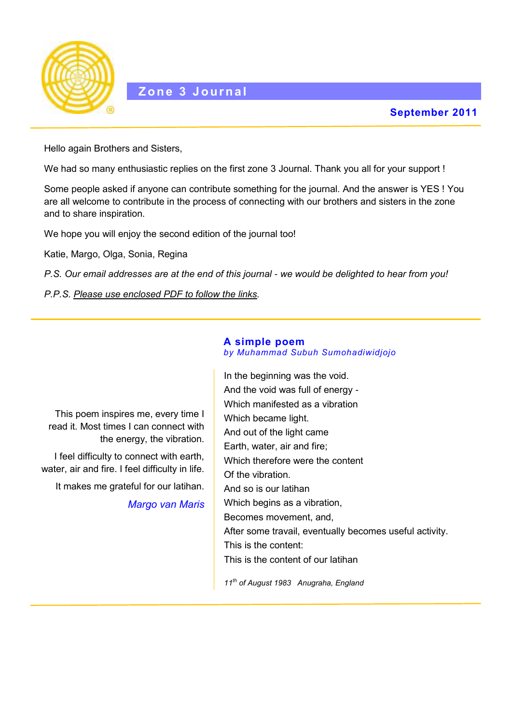

Hello again Brothers and Sisters,

We had so many enthusiastic replies on the first zone 3 Journal. Thank you all for your support !

Some people asked if anyone can contribute something for the journal. And the answer is YES ! You are all welcome to contribute in the process of connecting with our brothers and sisters in the zone and to share inspiration.

We hope you will enjoy the second edition of the journal too!

Katie, Margo, Olga, Sonia, Regina

*P.S. Our email addresses are at the end of this journal - we would be delighted to hear from you!* 

*P.P.S. Please use enclosed PDF to follow the links.*

## **A simple poem** *by Muhammad Subuh Sumohadiwidjojo*

This poem inspires me, every time I read it. Most times I can connect with the energy, the vibration. I feel difficulty to connect with earth, water, air and fire. I feel difficulty in life. It makes me grateful for our latihan. *Margo van Maris* In the beginning was the void. And the void was full of energy - Which manifested as a vibration Which became light. And out of the light came Earth, water, air and fire; Which therefore were the content Of the vibration. And so is our latihan Which begins as a vibration, Becomes movement, and, After some travail, eventually becomes useful activity. This is the content: This is the content of our latihan

*11th of August 1983 Anugraha, England*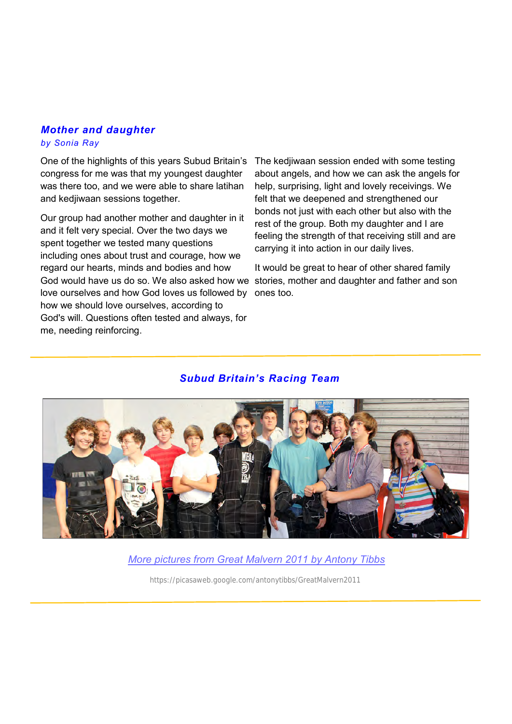## *Mother and daughter by Sonia Ray*

One of the highlights of this years Subud Britain's congress for me was that my youngest daughter was there too, and we were able to share latihan and kedjiwaan sessions together.

Our group had another mother and daughter in it and it felt very special. Over the two days we spent together we tested many questions including ones about trust and courage, how we regard our hearts, minds and bodies and how God would have us do so. We also asked how we stories, mother and daughter and father and son love ourselves and how God loves us followed by ones too. how we should love ourselves, according to God's will. Questions often tested and always, for me, needing reinforcing.

The kedjiwaan session ended with some testing about angels, and how we can ask the angels for help, surprising, light and lovely receivings. We felt that we deepened and strengthened our bonds not just with each other but also with the rest of the group. Both my daughter and I are feeling the strength of that receiving still and are carrying it into action in our daily lives.

It would be great to hear of other shared family

## *Subud Britain's Racing Team*



*[More pictures from Great Malvern 2011 by Antony Tibbs](https://picasaweb.google.com/antonytibbs/GreatMalvern2011)*

<https://picasaweb.google.com/antonytibbs/GreatMalvern2011>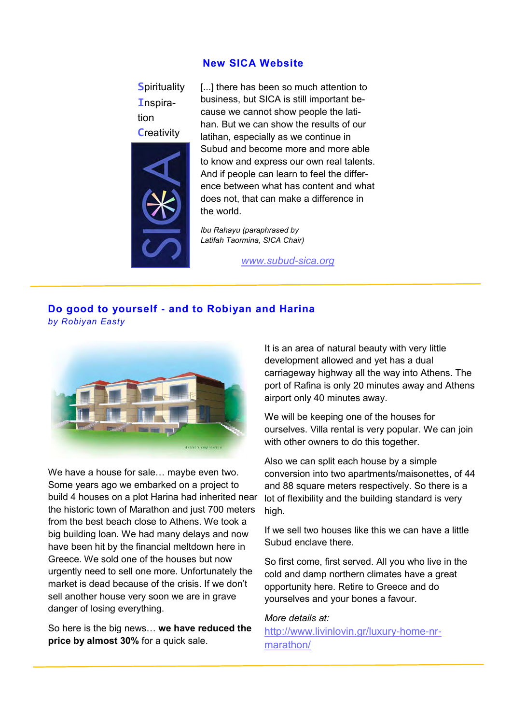## **New SICA Website**

**S**pirituality **I**nspiration **C**reativity



[...] there has been so much attention to business, but SICA is still important because we cannot show people the latihan. But we can show the results of our latihan, especially as we continue in Subud and become more and more able to know and express our own real talents. And if people can learn to feel the difference between what has content and what does not, that can make a difference in the world.

*Ibu Rahayu (paraphrased by Latifah Taormina, SICA Chair)*

*[www.subud](http://www.subud-sica.org/)-sica.org*

# **Do good to yourself - and to Robiyan and Harina**

*by Robiyan Easty*



We have a house for sale… maybe even two. Some years ago we embarked on a project to build 4 houses on a plot Harina had inherited near the historic town of Marathon and just 700 meters from the best beach close to Athens. We took a big building loan. We had many delays and now have been hit by the financial meltdown here in Greece. We sold one of the houses but now urgently need to sell one more. Unfortunately the market is dead because of the crisis. If we don't sell another house very soon we are in grave danger of losing everything.

So here is the big news… **we have reduced the price by almost 30%** for a quick sale.

It is an area of natural beauty with very little development allowed and yet has a dual carriageway highway all the way into Athens. The port of Rafina is only 20 minutes away and Athens airport only 40 minutes away.

We will be keeping one of the houses for ourselves. Villa rental is very popular. We can join with other owners to do this together.

Also we can split each house by a simple conversion into two apartments/maisonettes, of 44 and 88 square meters respectively. So there is a lot of flexibility and the building standard is very high.

If we sell two houses like this we can have a little Subud enclave there.

So first come, first served. All you who live in the cold and damp northern climates have a great opportunity here. Retire to Greece and do yourselves and your bones a favour.

#### *More details at:*

[http://www.livinlovin.gr/luxury](http://www.livinlovin.gr/luxury-home-nr-marathon/)-home-nr[marathon/](http://www.livinlovin.gr/luxury-home-nr-marathon/)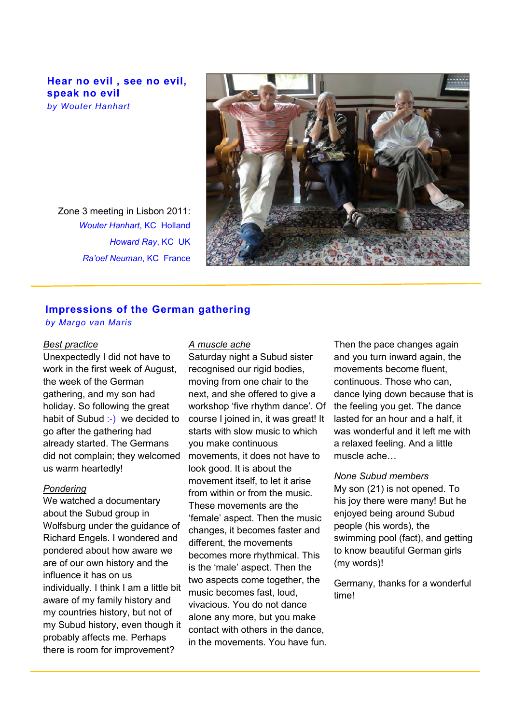**Hear no evil , see no evil, speak no evil**  *by Wouter Hanhart*

Zone 3 meeting in Lisbon 2011: *Wouter Hanhart*, KC Holland *Howard Ray*, KC UK *Ra'oef Neuman*, KC France



## **Impressions of the German gathering**

*by Margo van Maris*

#### *Best practice*

Unexpectedly I did not have to work in the first week of August, the week of the German gathering, and my son had holiday. So following the great habit of Subud :-) we decided to go after the gathering had already started. The Germans did not complain; they welcomed us warm heartedly!

#### *Pondering*

We watched a documentary about the Subud group in Wolfsburg under the guidance of Richard Engels. I wondered and pondered about how aware we are of our own history and the influence it has on us individually. I think I am a little bit aware of my family history and my countries history, but not of my Subud history, even though it probably affects me. Perhaps there is room for improvement?

#### *A muscle ache*

Saturday night a Subud sister recognised our rigid bodies, moving from one chair to the next, and she offered to give a workshop 'five rhythm dance'. Of course I joined in, it was great! It starts with slow music to which you make continuous movements, it does not have to look good. It is about the movement itself, to let it arise from within or from the music. These movements are the 'female' aspect. Then the music changes, it becomes faster and different, the movements becomes more rhythmical. This is the 'male' aspect. Then the two aspects come together, the music becomes fast, loud, vivacious. You do not dance alone any more, but you make contact with others in the dance, in the movements. You have fun.

Then the pace changes again and you turn inward again, the movements become fluent, continuous. Those who can, dance lying down because that is the feeling you get. The dance lasted for an hour and a half, it was wonderful and it left me with a relaxed feeling. And a little muscle ache…

## *None Subud members*

My son (21) is not opened. To his joy there were many! But he enjoyed being around Subud people (his words), the swimming pool (fact), and getting to know beautiful German girls (my words)!

Germany, thanks for a wonderful time!